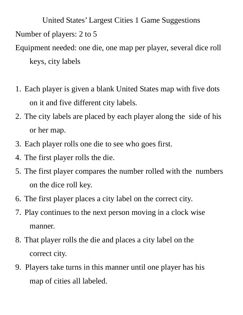United States' Largest Cities 1 Game Suggestions Number of players: 2 to 5 Equipment needed: one die, one map per player, several dice roll keys, city labels

- 1. Each player is given a blank United States map with five dots on it and five different city labels.
- 2. The city labels are placed by each player along the side of his or her map.
- 3. Each player rolls one die to see who goes first.
- 4. The first player rolls the die.
- 5. The first player compares the number rolled with the numbers on the dice roll key.
- 6. The first player places a city label on the correct city.
- 7. Play continues to the next person moving in a clock wise manner.
- 8. That player rolls the die and places a city label on the correct city.
- 9. Players take turns in this manner until one player has his map of cities all labeled.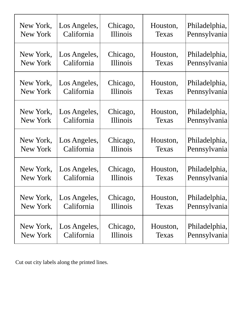| New York, | Los Angeles, | Chicago, | Houston, | Philadelphia, |
|-----------|--------------|----------|----------|---------------|
| New York  | California   | Illinois | Texas    | Pennsylvania  |
| New York, | Los Angeles, | Chicago, | Houston, | Philadelphia, |
| New York  | California   | Illinois | Texas    | Pennsylvania  |
| New York, | Los Angeles, | Chicago, | Houston, | Philadelphia, |
| New York  | California   | Illinois | Texas    | Pennsylvania  |
| New York, | Los Angeles, | Chicago, | Houston, | Philadelphia, |
| New York  | California   | Illinois | Texas    | Pennsylvania  |
| New York, | Los Angeles, | Chicago, | Houston, | Philadelphia, |
| New York  | California   | Illinois | Texas    | Pennsylvania  |
| New York, | Los Angeles, | Chicago, | Houston, | Philadelphia, |
| New York  | California   | Illinois | Texas    | Pennsylvania  |
| New York, | Los Angeles, | Chicago, | Houston, | Philadelphia, |
| New York  | California   | Illinois | Texas    | Pennsylvania  |
| New York, | Los Angeles, | Chicago, | Houston, | Philadelphia, |
| New York  | California   | Illinois | Texas    | Pennsylvania  |

Cut out city labels along the printed lines.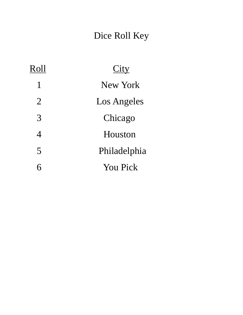## Dice Roll Key

| Roll           | City            |  |  |
|----------------|-----------------|--|--|
| $\mathbf{1}$   | New York        |  |  |
| $\overline{2}$ | Los Angeles     |  |  |
| 3              | Chicago         |  |  |
| 4              | Houston         |  |  |
| 5              | Philadelphia    |  |  |
| 6              | <b>You Pick</b> |  |  |